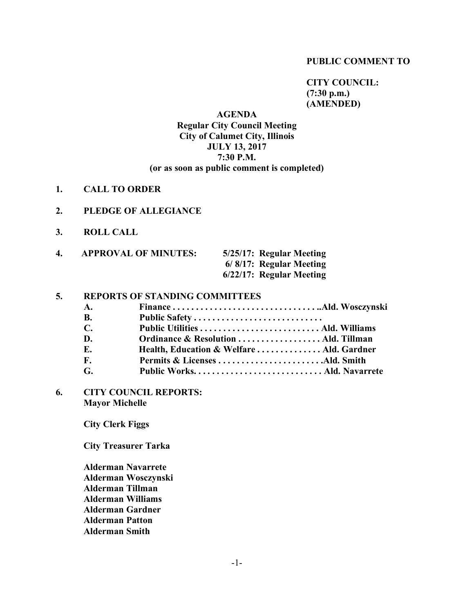#### **PUBLIC COMMENT TO**

**CITY COUNCIL: (7:30 p.m.) (AMENDED)**

## **AGENDA Regular City Council Meeting City of Calumet City, Illinois JULY 13, 2017 7:30 P.M. (or as soon as public comment is completed)**

- **1. CALL TO ORDER**
- **2. PLEDGE OF ALLEGIANCE**
- **3. ROLL CALL**

| 4. | <b>APPROVAL OF MINUTES:</b> | 5/25/17: Regular Meeting |
|----|-----------------------------|--------------------------|
|    |                             | 6/8/17: Regular Meeting  |
|    |                             | 6/22/17: Regular Meeting |

#### **5. REPORTS OF STANDING COMMITTEES**

- **A. Finance . . . . . . . . . . . . . . . . . . . . . . . . . . . . . . . ..Ald. Wosczynski B. Public Safety . . . . . . . . . . . . . . . . . . . . . . . . . . . .**
- **C. Public Utilities . . . . . . . . . . . . . . . . . . . . . . . . . . Ald. Williams D. Ordinance & Resolution . . . . . . . . . . . . . . . . . . Ald. Tillman E. Health, Education & Welfare . . . . . . . . . . . . . . Ald. Gardner F. Permits & Licenses . . . . . . . . . . . . . . . . . . . . . . .Ald. Smith**
- **G. Public Works. . . . . . . . . . . . . . . . . . . . . . . . . . . . Ald. Navarrete**
- **6. CITY COUNCIL REPORTS: Mayor Michelle**

**City Clerk Figgs**

**City Treasurer Tarka**

**Alderman Navarrete Alderman Wosczynski Alderman Tillman Alderman Williams Alderman Gardner Alderman Patton Alderman Smith**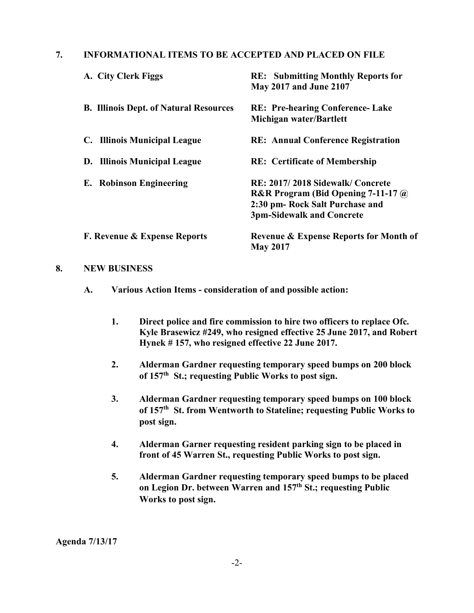## **7. INFORMATIONAL ITEMS TO BE ACCEPTED AND PLACED ON FILE**

| A. City Clerk Figgs                           | <b>RE:</b> Submitting Monthly Reports for<br><b>May 2017 and June 2107</b>                                                                     |  |
|-----------------------------------------------|------------------------------------------------------------------------------------------------------------------------------------------------|--|
| <b>B. Illinois Dept. of Natural Resources</b> | <b>RE: Pre-hearing Conference-Lake</b><br>Michigan water/Bartlett                                                                              |  |
| C. Illinois Municipal League                  | <b>RE: Annual Conference Registration</b>                                                                                                      |  |
| D. Illinois Municipal League                  | <b>RE:</b> Certificate of Membership                                                                                                           |  |
| <b>E.</b> Robinson Engineering                | RE: 2017/2018 Sidewalk/Concrete<br>R&R Program (Bid Opening $7-11-17$ @<br>2:30 pm- Rock Salt Purchase and<br><b>3pm-Sidewalk and Concrete</b> |  |
| <b>F. Revenue &amp; Expense Reports</b>       | <b>Revenue &amp; Expense Reports for Month of</b><br><b>May 2017</b>                                                                           |  |

#### **8. NEW BUSINESS**

- **A. Various Action Items - consideration of and possible action:**
	- **1. Direct police and fire commission to hire two officers to replace Ofc. Kyle Brasewicz #249, who resigned effective 25 June 2017, and Robert Hynek # 157, who resigned effective 22 June 2017.**
	- **2. Alderman Gardner requesting temporary speed bumps on 200 block of 157th St.; requesting Public Works to post sign.**
	- **3. Alderman Gardner requesting temporary speed bumps on 100 block of 157th St. from Wentworth to Stateline; requesting Public Works to post sign.**
	- **4. Alderman Garner requesting resident parking sign to be placed in front of 45 Warren St., requesting Public Works to post sign.**
	- **5. Alderman Gardner requesting temporary speed bumps to be placed on Legion Dr. between Warren and 157th St.; requesting Public Works to post sign.**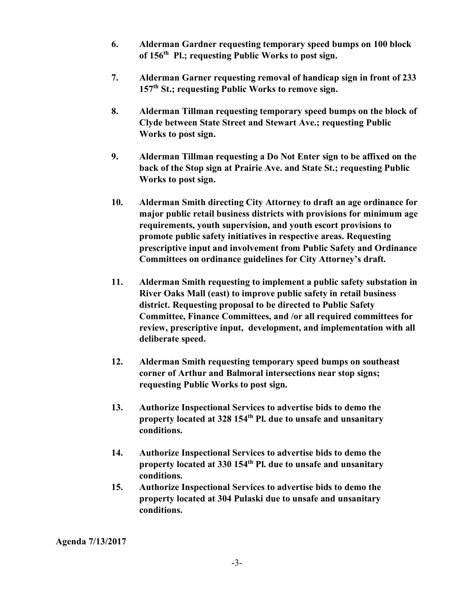- **6. Alderman Gardner requesting temporary speed bumps on 100 block of 156th Pl.; requesting Public Works to post sign.**
- **7. Alderman Garner requesting removal of handicap sign in front of 233 157th St.; requesting Public Works to remove sign.**
- **8. Alderman Tillman requesting temporary speed bumps on the block of Clyde between State Street and Stewart Ave.; requesting Public Works to post sign.**
- **9. Alderman Tillman requesting a Do Not Enter sign to be affixed on the back of the Stop sign at Prairie Ave. and State St.; requesting Public Works to post sign.**
- **10. Alderman Smith directing City Attorney to draft an age ordinance for major public retail business districts with provisions for minimum age requirements, youth supervision, and youth escort provisions to promote public safety initiatives in respective areas. Requesting prescriptive input and involvement from Public Safety and Ordinance Committees on ordinance guidelines for City Attorney's draft.**
- **11. Alderman Smith requesting to implement a public safety substation in River Oaks Mall (east) to improve public safety in retail business district. Requesting proposal to be directed to Public Safety Committee, Finance Committees, and /or all required committees for review, prescriptive input, development, and implementation with all deliberate speed.**
- **12. Alderman Smith requesting temporary speed bumps on southeast corner of Arthur and Balmoral intersections near stop signs; requesting Public Works to post sign.**
- **13. Authorize Inspectional Services to advertise bids to demo the property located at 328 154th Pl. due to unsafe and unsanitary conditions.**
- **14. Authorize Inspectional Services to advertise bids to demo the property located at 330 154th Pl. due to unsafe and unsanitary conditions.**
- **15. Authorize Inspectional Services to advertise bids to demo the property located at 304 Pulaski due to unsafe and unsanitary conditions.**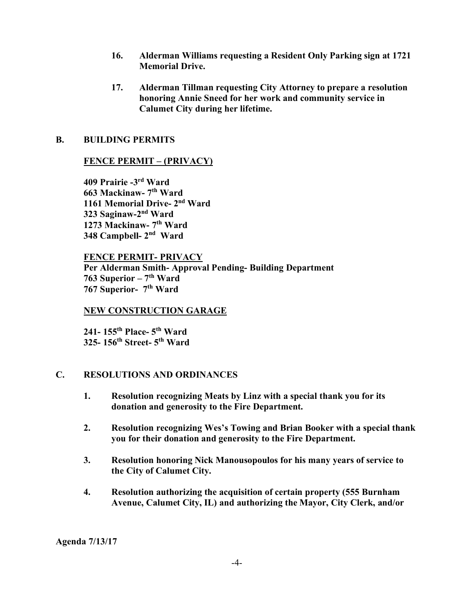- **16. Alderman Williams requesting a Resident Only Parking sign at 1721 Memorial Drive.**
- **17. Alderman Tillman requesting City Attorney to prepare a resolution honoring Annie Sneed for her work and community service in Calumet City during her lifetime.**

## **B. BUILDING PERMITS**

## **FENCE PERMIT – (PRIVACY)**

**409 Prairie -3rd Ward 663 Mackinaw- 7th Ward 1161 Memorial Drive- 2nd Ward 323 Saginaw-2nd Ward 1273 Mackinaw- 7th Ward 348 Campbell- 2nd Ward**

### **FENCE PERMIT- PRIVACY**

**Per Alderman Smith- Approval Pending- Building Department 763 Superior – 7th Ward 767 Superior- 7th Ward**

### **NEW CONSTRUCTION GARAGE**

**241- 155th Place- 5th Ward 325- 156th Street- 5th Ward**

### **C. RESOLUTIONS AND ORDINANCES**

- **1. Resolution recognizing Meats by Linz with a special thank you for its donation and generosity to the Fire Department.**
- **2. Resolution recognizing Wes's Towing and Brian Booker with a special thank you for their donation and generosity to the Fire Department.**
- **3. Resolution honoring Nick Manousopoulos for his many years of service to the City of Calumet City.**
- **4. Resolution authorizing the acquisition of certain property (555 Burnham Avenue, Calumet City, IL) and authorizing the Mayor, City Clerk, and/or**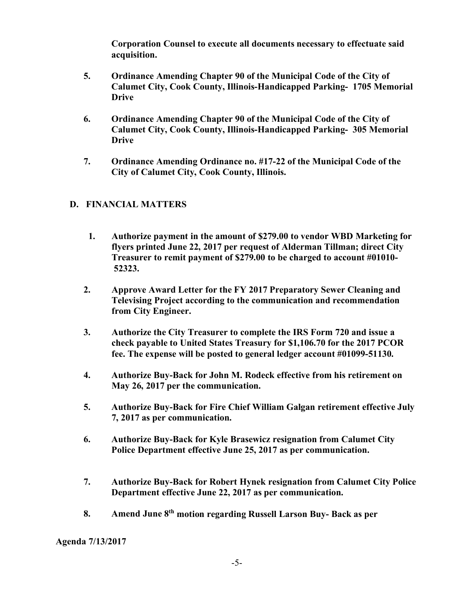**Corporation Counsel to execute all documents necessary to effectuate said acquisition.**

- **5. Ordinance Amending Chapter 90 of the Municipal Code of the City of Calumet City, Cook County, Illinois-Handicapped Parking- 1705 Memorial Drive**
- **6. Ordinance Amending Chapter 90 of the Municipal Code of the City of Calumet City, Cook County, Illinois-Handicapped Parking- 305 Memorial Drive**
- **7. Ordinance Amending Ordinance no. #17-22 of the Municipal Code of the City of Calumet City, Cook County, Illinois.**

# **D. FINANCIAL MATTERS**

- **1. Authorize payment in the amount of \$279.00 to vendor WBD Marketing for flyers printed June 22, 2017 per request of Alderman Tillman; direct City Treasurer to remit payment of \$279.00 to be charged to account #01010- 52323.**
- **2. Approve Award Letter for the FY 2017 Preparatory Sewer Cleaning and Televising Project according to the communication and recommendation from City Engineer.**
- **3. Authorize the City Treasurer to complete the IRS Form 720 and issue a check payable to United States Treasury for \$1,106.70 for the 2017 PCOR fee. The expense will be posted to general ledger account #01099-51130.**
- **4. Authorize Buy-Back for John M. Rodeck effective from his retirement on May 26, 2017 per the communication.**
- **5. Authorize Buy-Back for Fire Chief William Galgan retirement effective July 7, 2017 as per communication.**
- **6. Authorize Buy-Back for Kyle Brasewicz resignation from Calumet City Police Department effective June 25, 2017 as per communication.**
- **7. Authorize Buy-Back for Robert Hynek resignation from Calumet City Police Department effective June 22, 2017 as per communication.**
- **8. Amend June 8th motion regarding Russell Larson Buy- Back as per**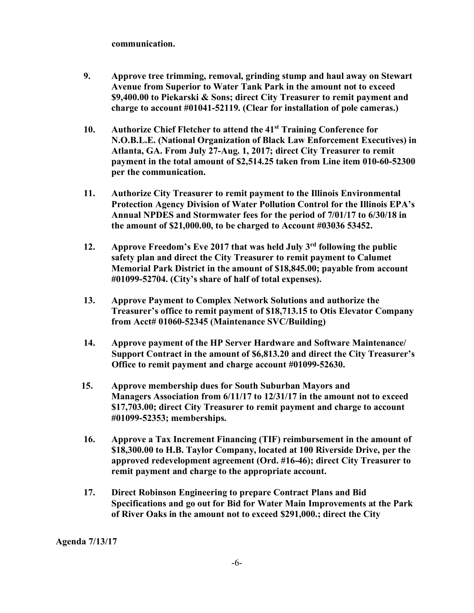#### **communication.**

- **9. Approve tree trimming, removal, grinding stump and haul away on Stewart Avenue from Superior to Water Tank Park in the amount not to exceed \$9,400.00 to Piekarski & Sons; direct City Treasurer to remit payment and charge to account #01041-52119. (Clear for installation of pole cameras.)**
- **10. Authorize Chief Fletcher to attend the 41st Training Conference for N.O.B.L.E. (National Organization of Black Law Enforcement Executives) in Atlanta, GA. From July 27-Aug. 1, 2017; direct City Treasurer to remit payment in the total amount of \$2,514.25 taken from Line item 010-60-52300 per the communication.**
- **11. Authorize City Treasurer to remit payment to the Illinois Environmental Protection Agency Division of Water Pollution Control for the Illinois EPA's Annual NPDES and Stormwater fees for the period of 7/01/17 to 6/30/18 in the amount of \$21,000.00, to be charged to Account #03036 53452.**
- **12. Approve Freedom's Eve 2017 that was held July 3rd following the public safety plan and direct the City Treasurer to remit payment to Calumet Memorial Park District in the amount of \$18,845.00; payable from account #01099-52704. (City's share of half of total expenses).**
- **13. Approve Payment to Complex Network Solutions and authorize the Treasurer's office to remit payment of \$18,713.15 to Otis Elevator Company from Acct# 01060-52345 (Maintenance SVC/Building)**
- **14. Approve payment of the HP Server Hardware and Software Maintenance/ Support Contract in the amount of \$6,813.20 and direct the City Treasurer's Office to remit payment and charge account #01099-52630.**
- **15. Approve membership dues for South Suburban Mayors and Managers Association from 6/11/17 to 12/31/17 in the amount not to exceed \$17,703.00; direct City Treasurer to remit payment and charge to account #01099-52353; memberships.**
- **16. Approve a Tax Increment Financing (TIF) reimbursement in the amount of \$18,300.00 to H.B. Taylor Company, located at 100 Riverside Drive, per the approved redevelopment agreement (Ord. #16-46); direct City Treasurer to remit payment and charge to the appropriate account.**
- **17. Direct Robinson Engineering to prepare Contract Plans and Bid Specifications and go out for Bid for Water Main Improvements at the Park of River Oaks in the amount not to exceed \$291,000.; direct the City**